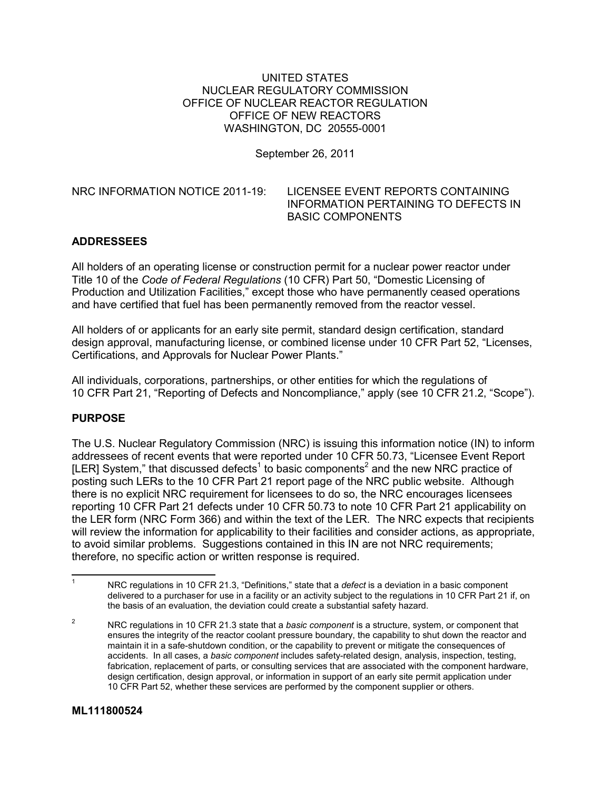UNITED STATES NUCLEAR REGULATORY COMMISSION OFFICE OF NUCLEAR REACTOR REGULATION OFFICE OF NEW REACTORS WASHINGTON, DC 20555-0001

September 26, 2011

NRC INFORMATION NOTICE 2011-19: LICENSEE EVENT REPORTS CONTAINING INFORMATION PERTAINING TO DEFECTS IN BASIC COMPONENTS

## **ADDRESSEES**

All holders of an operating license or construction permit for a nuclear power reactor under Title 10 of the *Code of Federal Regulations* (10 CFR) Part 50, "Domestic Licensing of Production and Utilization Facilities," except those who have permanently ceased operations and have certified that fuel has been permanently removed from the reactor vessel.

All holders of or applicants for an early site permit, standard design certification, standard design approval, manufacturing license, or combined license under 10 CFR Part 52, "Licenses, Certifications, and Approvals for Nuclear Power Plants."

All individuals, corporations, partnerships, or other entities for which the regulations of 10 CFR Part 21, "Reporting of Defects and Noncompliance," apply (see 10 CFR 21.2, "Scope").

#### **PURPOSE**

The U.S. Nuclear Regulatory Commission (NRC) is issuing this information notice (IN) to inform addressees of recent events that were reported under 10 CFR 50.73, "Licensee Event Report [LER] System," that discussed defects<sup>1</sup> to basic components<sup>2</sup> and the new NRC practice of posting such LERs to the 10 CFR Part 21 report page of the NRC public website. Although there is no explicit NRC requirement for licensees to do so, the NRC encourages licensees reporting 10 CFR Part 21 defects under 10 CFR 50.73 to note 10 CFR Part 21 applicability on the LER form (NRC Form 366) and within the text of the LER. The NRC expects that recipients will review the information for applicability to their facilities and consider actions, as appropriate, to avoid similar problems. Suggestions contained in this IN are not NRC requirements; therefore, no specific action or written response is required.

<sup>-&</sup>lt;br>1 NRC regulations in 10 CFR 21.3, "Definitions," state that a *defect* is a deviation in a basic component delivered to a purchaser for use in a facility or an activity subject to the regulations in 10 CFR Part 21 if, on the basis of an evaluation, the deviation could create a substantial safety hazard.

<sup>2</sup> NRC regulations in 10 CFR 21.3 state that a *basic component* is a structure, system, or component that ensures the integrity of the reactor coolant pressure boundary, the capability to shut down the reactor and maintain it in a safe-shutdown condition, or the capability to prevent or mitigate the consequences of accidents. In all cases, a *basic component* includes safety-related design, analysis, inspection, testing, fabrication, replacement of parts, or consulting services that are associated with the component hardware, design certification, design approval, or information in support of an early site permit application under 10 CFR Part 52, whether these services are performed by the component supplier or others.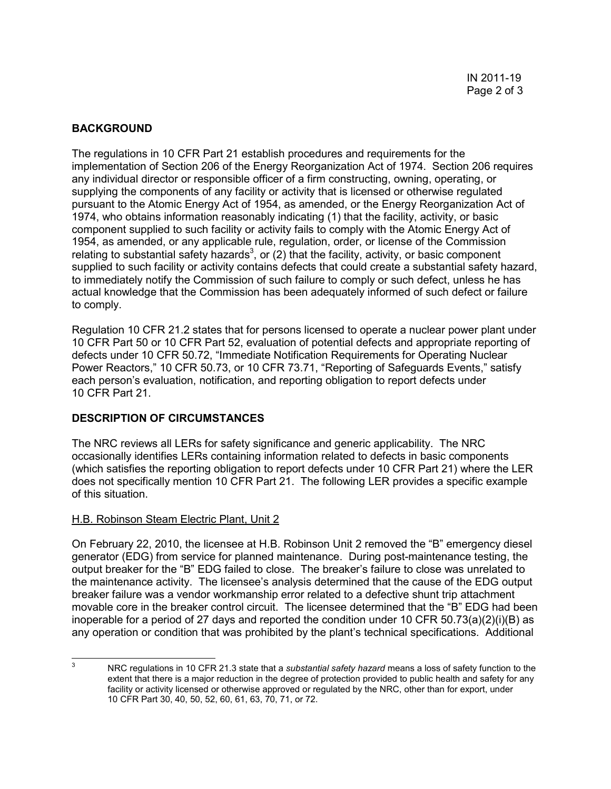# **BACKGROUND**

The regulations in 10 CFR Part 21 establish procedures and requirements for the implementation of Section 206 of the Energy Reorganization Act of 1974. Section 206 requires any individual director or responsible officer of a firm constructing, owning, operating, or supplying the components of any facility or activity that is licensed or otherwise regulated pursuant to the Atomic Energy Act of 1954, as amended, or the Energy Reorganization Act of 1974, who obtains information reasonably indicating (1) that the facility, activity, or basic component supplied to such facility or activity fails to comply with the Atomic Energy Act of 1954, as amended, or any applicable rule, regulation, order, or license of the Commission relating to substantial safety hazards<sup>3</sup>, or (2) that the facility, activity, or basic component supplied to such facility or activity contains defects that could create a substantial safety hazard, to immediately notify the Commission of such failure to comply or such defect, unless he has actual knowledge that the Commission has been adequately informed of such defect or failure to comply.

Regulation 10 CFR 21.2 states that for persons licensed to operate a nuclear power plant under 10 CFR Part 50 or 10 CFR Part 52, evaluation of potential defects and appropriate reporting of defects under 10 CFR 50.72, "Immediate Notification Requirements for Operating Nuclear Power Reactors," 10 CFR 50.73, or 10 CFR 73.71, "Reporting of Safeguards Events," satisfy each person's evaluation, notification, and reporting obligation to report defects under 10 CFR Part 21.

## **DESCRIPTION OF CIRCUMSTANCES**

The NRC reviews all LERs for safety significance and generic applicability. The NRC occasionally identifies LERs containing information related to defects in basic components (which satisfies the reporting obligation to report defects under 10 CFR Part 21) where the LER does not specifically mention 10 CFR Part 21. The following LER provides a specific example of this situation.

#### H.B. Robinson Steam Electric Plant, Unit 2

On February 22, 2010, the licensee at H.B. Robinson Unit 2 removed the "B" emergency diesel generator (EDG) from service for planned maintenance. During post-maintenance testing, the output breaker for the "B" EDG failed to close. The breaker's failure to close was unrelated to the maintenance activity. The licensee's analysis determined that the cause of the EDG output breaker failure was a vendor workmanship error related to a defective shunt trip attachment movable core in the breaker control circuit. The licensee determined that the "B" EDG had been inoperable for a period of 27 days and reported the condition under 10 CFR  $50.73(a)(2)(i)(B)$  as any operation or condition that was prohibited by the plant's technical specifications. Additional

 $\frac{1}{3}$  NRC regulations in 10 CFR 21.3 state that a *substantial safety hazard* means a loss of safety function to the extent that there is a major reduction in the degree of protection provided to public health and safety for any facility or activity licensed or otherwise approved or regulated by the NRC, other than for export, under 10 CFR Part 30, 40, 50, 52, 60, 61, 63, 70, 71, or 72.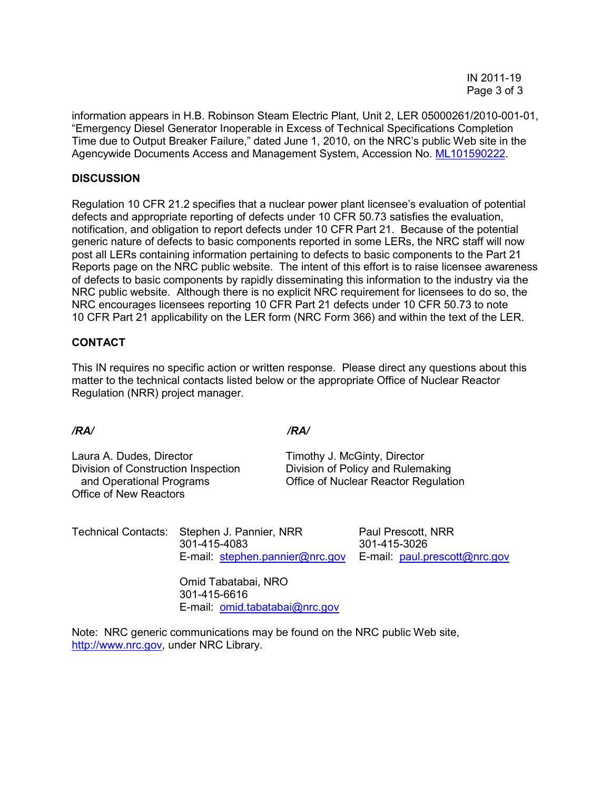information appears in H.B. Robinson Steam Electric Plant, Unit 2, LER 05000261/2010-001-01, "Emergency Diesel Generator Inoperable in Excess of Technical Specifications Completion Time due to Output Breaker Failure," dated June 1, 2010, on the NRC's public Web site in the Agencywide Documents Access and Management System, Accession No. ML101590222.

#### **DISCUSSION**

Regulation 10 CFR 21.2 specifies that a nuclear power plant licensee's evaluation of potential defects and appropriate reporting of defects under 10 CFR 50.73 satisfies the evaluation, notification, and obligation to report defects under 10 CFR Part 21. Because of the potential generic nature of defects to basic components reported in some LERs, the NRC staff will now post all LERs containing information pertaining to defects to basic components to the Part 21 Reports page on the NRC public website. The intent of this effort is to raise licensee awareness of defects to basic components by rapidly disseminating this information to the industry via the NRC public website. Although there is no explicit NRC requirement for licensees to do so, the NRC encourages licensees reporting 10 CFR Part 21 defects under 10 CFR 50.73 to note 10 CFR Part 21 applicability on the LER form (NRC Form 366) and within the text of the LER.

## **CONTACT**

This IN requires no specific action or written response. Please direct any questions about this matter to the technical contacts listed below or the appropriate Office of Nuclear Reactor Regulation (NRR) project manager.

Laura A. Dudes, Director Timothy J. McGinty, Director Division of Construction Inspection Division of Policy and Rulemaking Office of New Reactors

*/RA/ /RA/* 

and Operational Programs Office of Nuclear Reactor Regulation

Technical Contacts: Stephen J. Pannier, NRR Paul Prescott, NRR 301-415-4083 301-415-3026 E-mail: stephen.pannier@nrc.gov E-mail: paul.prescott@nrc.gov

Omid Tabatabai, NRO 301-415-6616 E-mail: omid.tabatabai@nrc.gov

Note: NRC generic communications may be found on the NRC public Web site, http://www.nrc.gov, under NRC Library.